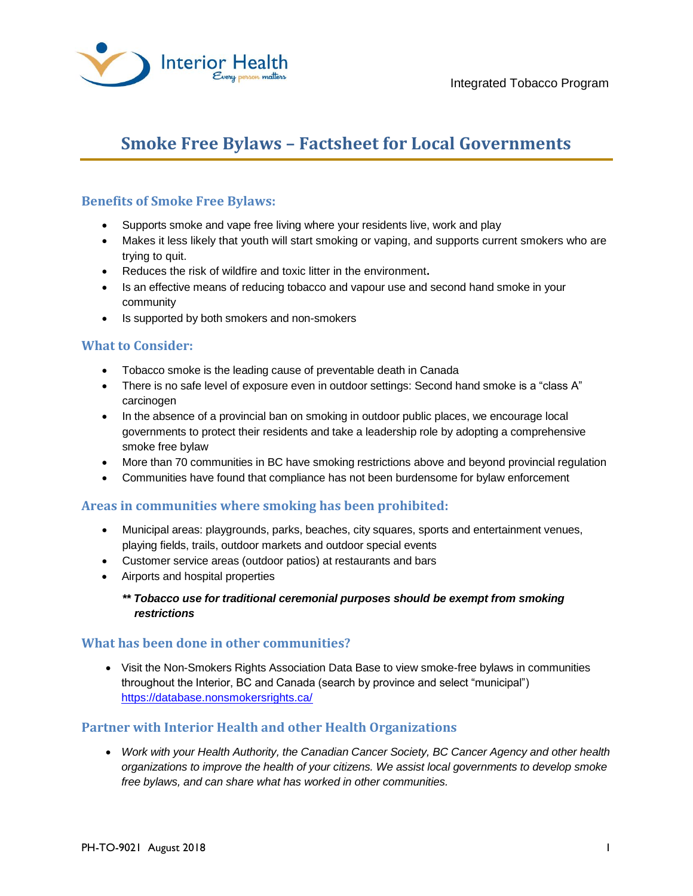

# **Smoke Free Bylaws – Factsheet for Local Governments**

## **Benefits of Smoke Free Bylaws:**

- Supports smoke and vape free living where your residents live, work and play
- Makes it less likely that youth will start smoking or vaping, and supports current smokers who are trying to quit.
- Reduces the risk of wildfire and toxic litter in the environment**.**
- Is an effective means of reducing tobacco and vapour use and second hand smoke in your community
- Is supported by both smokers and non-smokers

## **What to Consider:**

- Tobacco smoke is the leading cause of preventable death in Canada
- There is no safe level of exposure even in outdoor settings: Second hand smoke is a "class A" carcinogen
- In the absence of a provincial ban on smoking in outdoor public places, we encourage local governments to protect their residents and take a leadership role by adopting a comprehensive smoke free bylaw
- More than 70 communities in BC have smoking restrictions above and beyond provincial regulation
- Communities have found that compliance has not been burdensome for bylaw enforcement

#### **Areas in communities where smoking has been prohibited:**

- Municipal areas: playgrounds, parks, beaches, city squares, sports and entertainment venues, playing fields, trails, outdoor markets and outdoor special events
- Customer service areas (outdoor patios) at restaurants and bars
- Airports and hospital properties
	- *\*\* Tobacco use for traditional ceremonial purposes should be exempt from smoking restrictions*

#### **What has been done in other communities?**

• Visit the Non-Smokers Rights Association Data Base to view smoke-free bylaws in communities throughout the Interior, BC and Canada (search by province and select "municipal") <https://database.nonsmokersrights.ca/>

### **Partner with Interior Health and other Health Organizations**

 *Work with your Health Authority, the Canadian Cancer Society, BC Cancer Agency and other health organizations to improve the health of your citizens. We assist local governments to develop smoke free bylaws, and can share what has worked in other communities.*